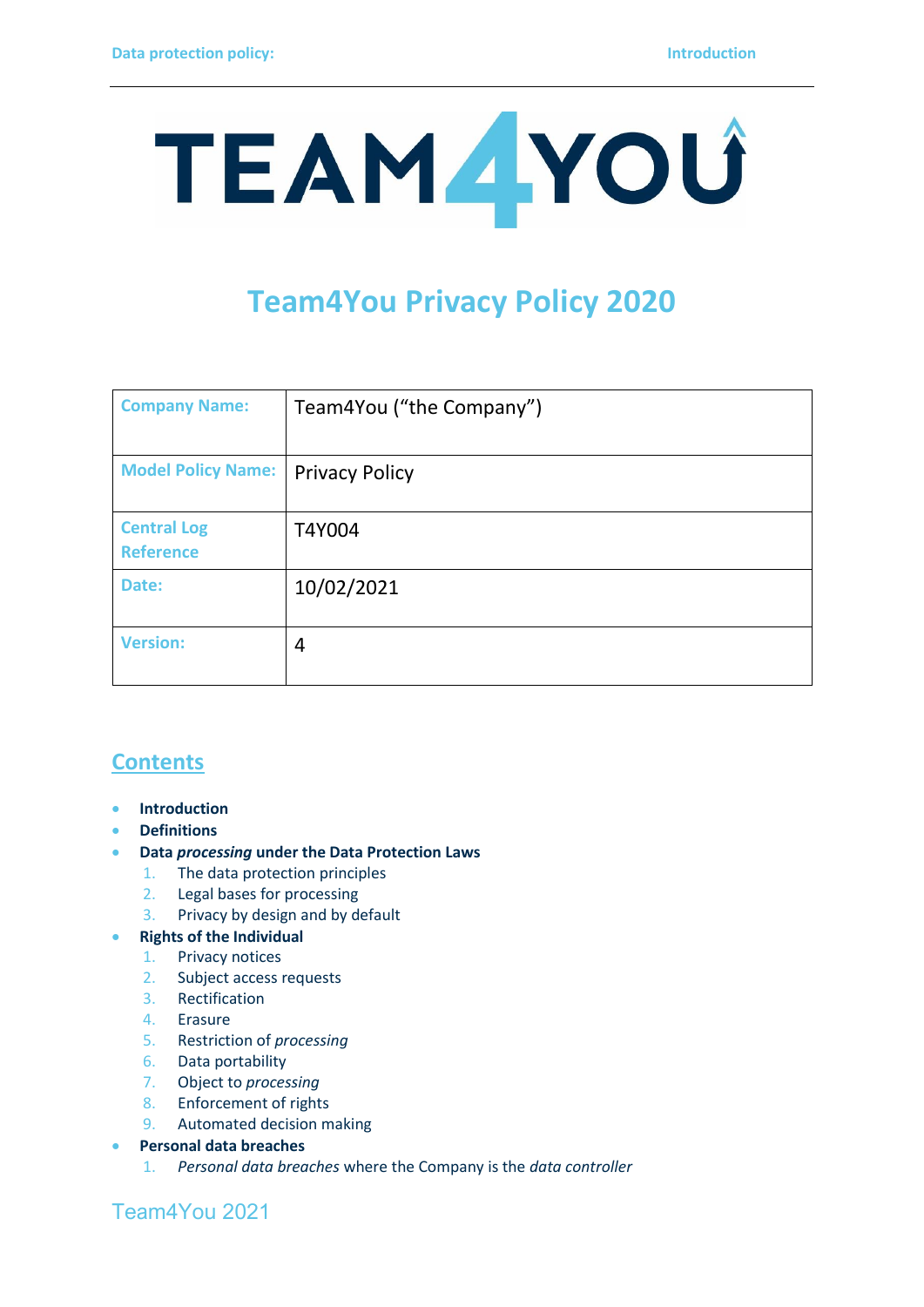

# **Team4You Privacy Policy 2020**

| <b>Company Name:</b>                   | Team4You ("the Company") |
|----------------------------------------|--------------------------|
| <b>Model Policy Name:</b>              | <b>Privacy Policy</b>    |
| <b>Central Log</b><br><b>Reference</b> | T4Y004                   |
| Date:                                  | 10/02/2021               |
| <b>Version:</b>                        | 4                        |

## **Contents**

- **Introduction**
- **Definitions**
- **Data** *processing* **under the Data Protection Laws**
	- 1. The data protection principles
	- 2. Legal bases for processing
	- 3. Privacy by design and by default

#### • **Rights of the Individual**

- 1. Privacy notices
- 2. Subject access requests
- 3. Rectification
- 4. Erasure
- 5. Restriction of *processing*
- 6. Data portability
- 7. Object to *processing*
- 8. Enforcement of rights
- 9. Automated decision making
- **Personal data breaches**
	- 1. *Personal data breaches* where the Company is the *data controller*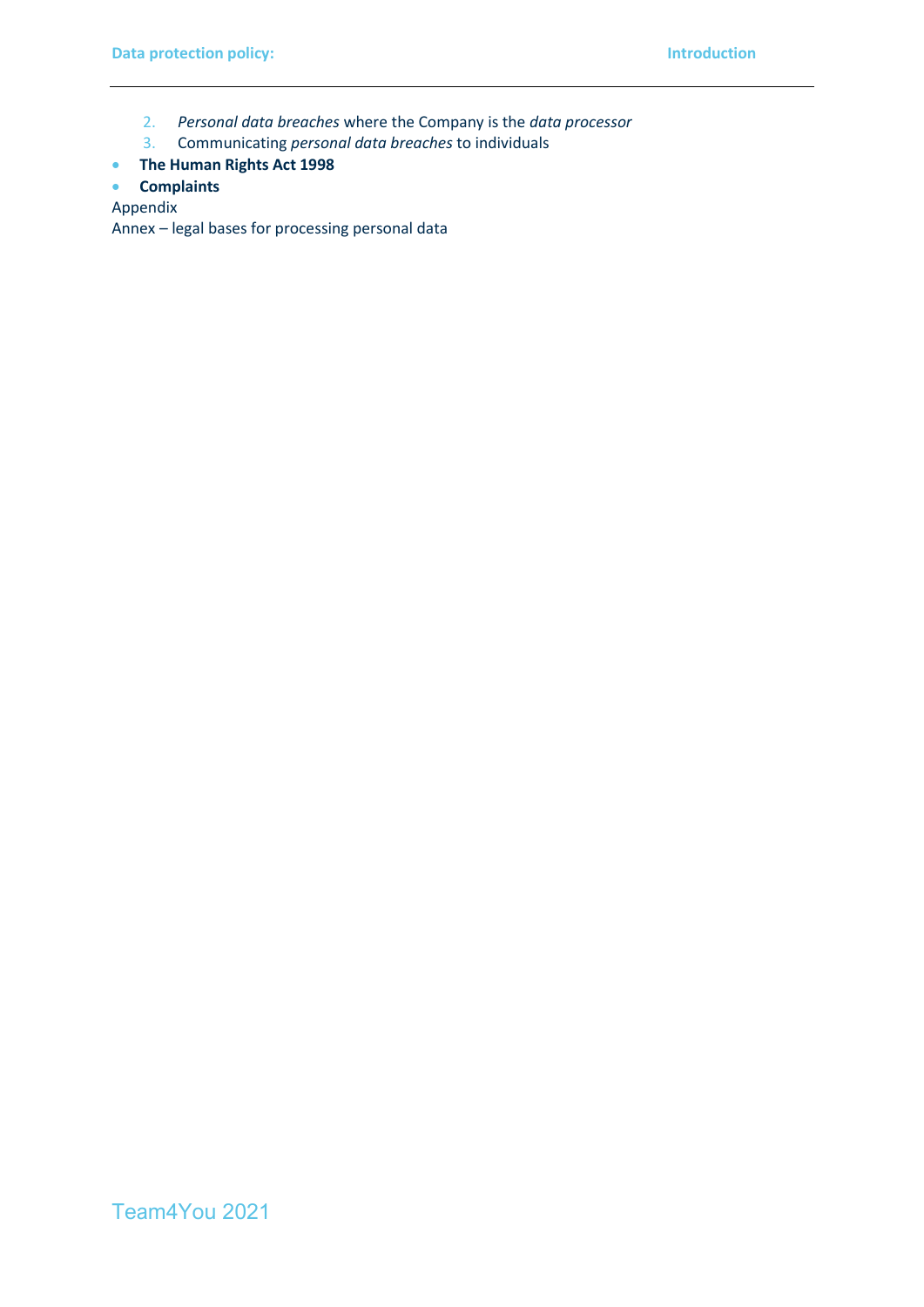- 2. *Personal data breaches* where the Company is the *data processor*
- 3. Communicating *personal data breaches* to individuals
- **The Human Rights Act 1998**
- **Complaints**

Appendix

Annex – legal bases for processing personal data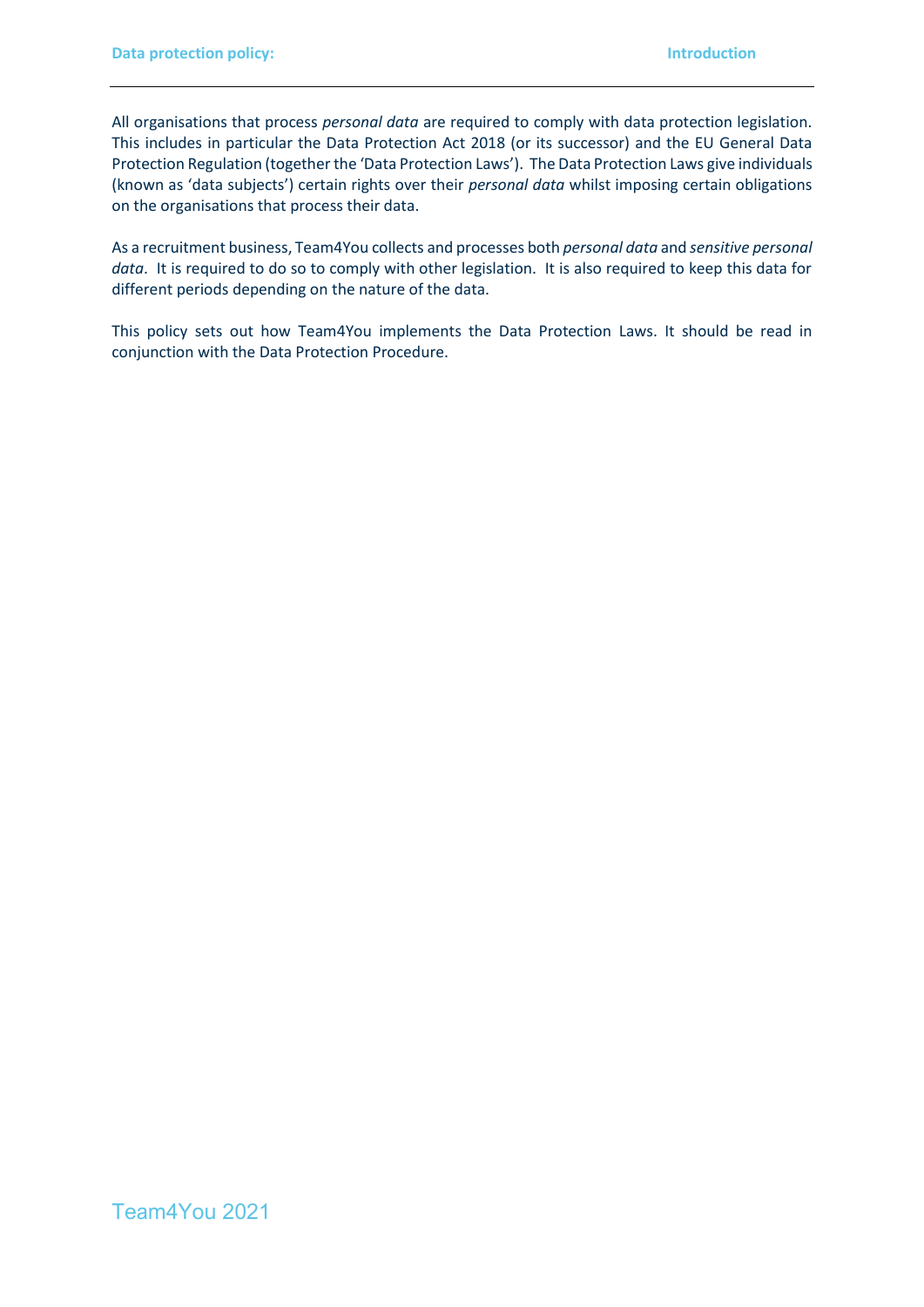All organisations that process *personal data* are required to comply with data protection legislation. This includes in particular the Data Protection Act 2018 (or its successor) and the EU General Data Protection Regulation (together the 'Data Protection Laws'). The Data Protection Laws give individuals (known as 'data subjects') certain rights over their *personal data* whilst imposing certain obligations on the organisations that process their data.

As a recruitment business, Team4You collects and processes both *personal data* and *sensitive personal data*. It is required to do so to comply with other legislation. It is also required to keep this data for different periods depending on the nature of the data.

This policy sets out how Team4You implements the Data Protection Laws. It should be read in conjunction with the Data Protection Procedure.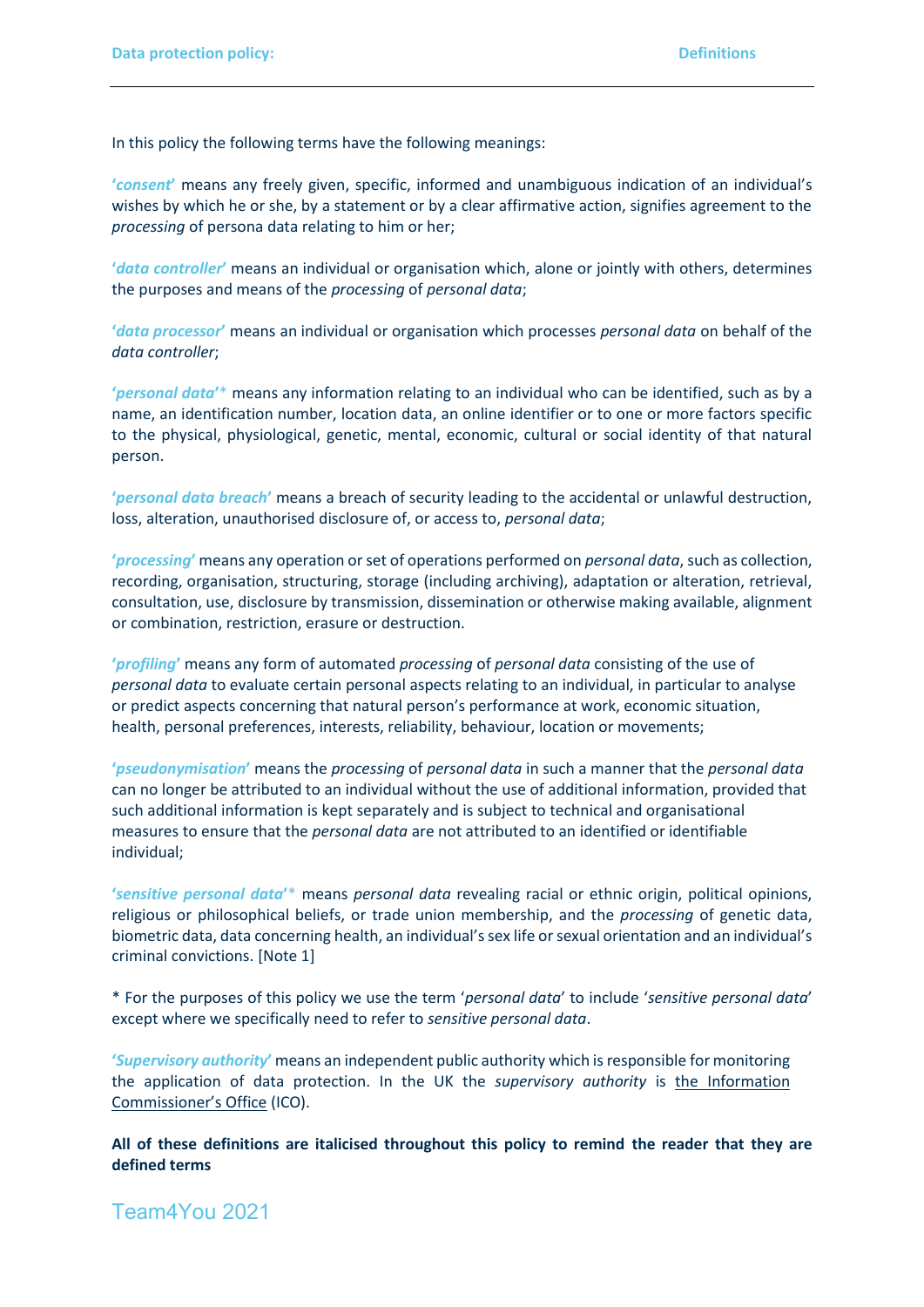In this policy the following terms have the following meanings:

**'***consent***'** means any freely given, specific, informed and unambiguous indication of an individual's wishes by which he or she, by a statement or by a clear affirmative action, signifies agreement to the *processing* of persona data relating to him or her;

**'***data controller***'** means an individual or organisation which, alone or jointly with others, determines the purposes and means of the *processing* of *personal data*;

**'***data processor***'** means an individual or organisation which processes *personal data* on behalf of the *data controller*;

**'***personal data***'**\* means any information relating to an individual who can be identified, such as by a name, an identification number, location data, an online identifier or to one or more factors specific to the physical, physiological, genetic, mental, economic, cultural or social identity of that natural person.

**'***personal data breach***'** means a breach of security leading to the accidental or unlawful destruction, loss, alteration, unauthorised disclosure of, or access to, *personal data*;

**'***processing***'** means any operation or set of operations performed on *personal data*, such as collection, recording, organisation, structuring, storage (including archiving), adaptation or alteration, retrieval, consultation, use, disclosure by transmission, dissemination or otherwise making available, alignment or combination, restriction, erasure or destruction.

**'***profiling***'** means any form of automated *processing* of *personal data* consisting of the use of *personal data* to evaluate certain personal aspects relating to an individual, in particular to analyse or predict aspects concerning that natural person's performance at work, economic situation, health, personal preferences, interests, reliability, behaviour, location or movements;

**'***pseudonymisation***'** means the *processing* of *personal data* in such a manner that the *personal data* can no longer be attributed to an individual without the use of additional information, provided that such additional information is kept separately and is subject to technical and organisational measures to ensure that the *personal data* are not attributed to an identified or identifiable individual;

**'***sensitive personal data***'**\* means *personal data* revealing racial or ethnic origin, political opinions, religious or philosophical beliefs, or trade union membership, and the *processing* of genetic data, biometric data, data concerning health, an individual's sex life or sexual orientation and an individual's criminal convictions. [Note 1]

\* For the purposes of this policy we use the term '*personal data*' to include '*sensitive personal data*' except where we specifically need to refer to *sensitive personal data*.

**'***Supervisory authority***'** means an independent public authority which is responsible for monitoring the application of data protection. In the UK the *supervisory authority* is [the Information](https://ico.org.uk/)  [Commissioner's Office](https://ico.org.uk/) (ICO).

**All of these definitions are italicised throughout this policy to remind the reader that they are defined terms**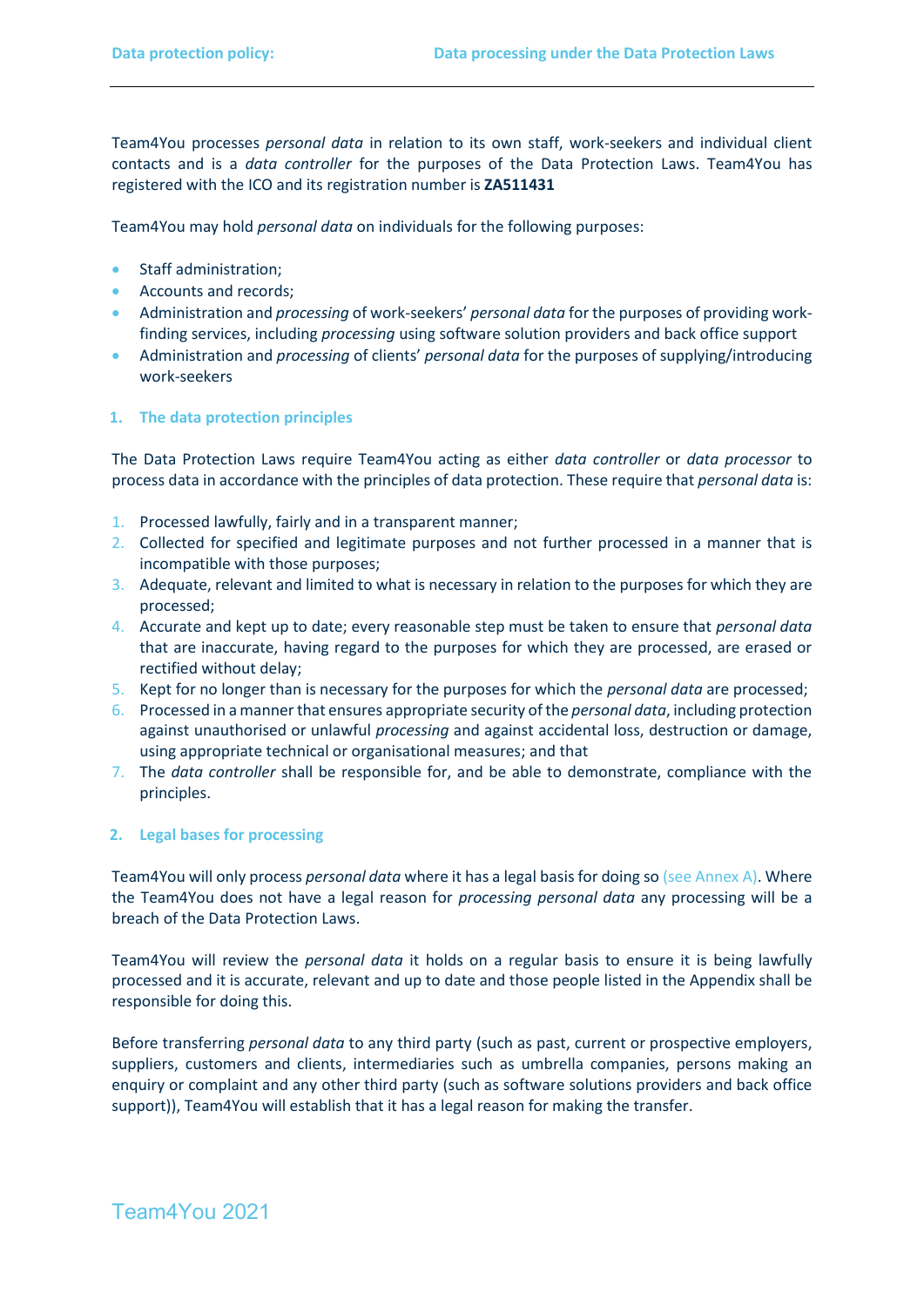Team4You processes *personal data* in relation to its own staff, work-seekers and individual client contacts and is a *data controller* for the purposes of the Data Protection Laws. Team4You has registered with the ICO and its registration number is **ZA511431**

Team4You may hold *personal data* on individuals for the following purposes:

- Staff administration;
- Accounts and records;
- Administration and *processing* of work-seekers' *personal data* for the purposes of providing workfinding services, including *processing* using software solution providers and back office support
- Administration and *processing* of clients' *personal data* for the purposes of supplying/introducing work-seekers

#### **1. The data protection principles**

The Data Protection Laws require Team4You acting as either *data controller* or *data processor* to process data in accordance with the principles of data protection. These require that *personal data* is:

- 1. Processed lawfully, fairly and in a transparent manner;
- 2. Collected for specified and legitimate purposes and not further processed in a manner that is incompatible with those purposes;
- 3. Adequate, relevant and limited to what is necessary in relation to the purposes for which they are processed;
- 4. Accurate and kept up to date; every reasonable step must be taken to ensure that *personal data* that are inaccurate, having regard to the purposes for which they are processed, are erased or rectified without delay;
- 5. Kept for no longer than is necessary for the purposes for which the *personal data* are processed;
- 6. Processed in a manner that ensures appropriate security of the *personal data*, including protection against unauthorised or unlawful *processing* and against accidental loss, destruction or damage, using appropriate technical or organisational measures; and that
- 7. The *data controller* shall be responsible for, and be able to demonstrate, compliance with the principles.

#### **2. Legal bases for processing**

Team4You will only process *personal data* where it has a legal basis for doing so (see Annex A). Where the Team4You does not have a legal reason for *processing personal data* any processing will be a breach of the Data Protection Laws.

Team4You will review the *personal data* it holds on a regular basis to ensure it is being lawfully processed and it is accurate, relevant and up to date and those people listed in the Appendix shall be responsible for doing this.

Before transferring *personal data* to any third party (such as past, current or prospective employers, suppliers, customers and clients, intermediaries such as umbrella companies, persons making an enquiry or complaint and any other third party (such as software solutions providers and back office support)), Team4You will establish that it has a legal reason for making the transfer.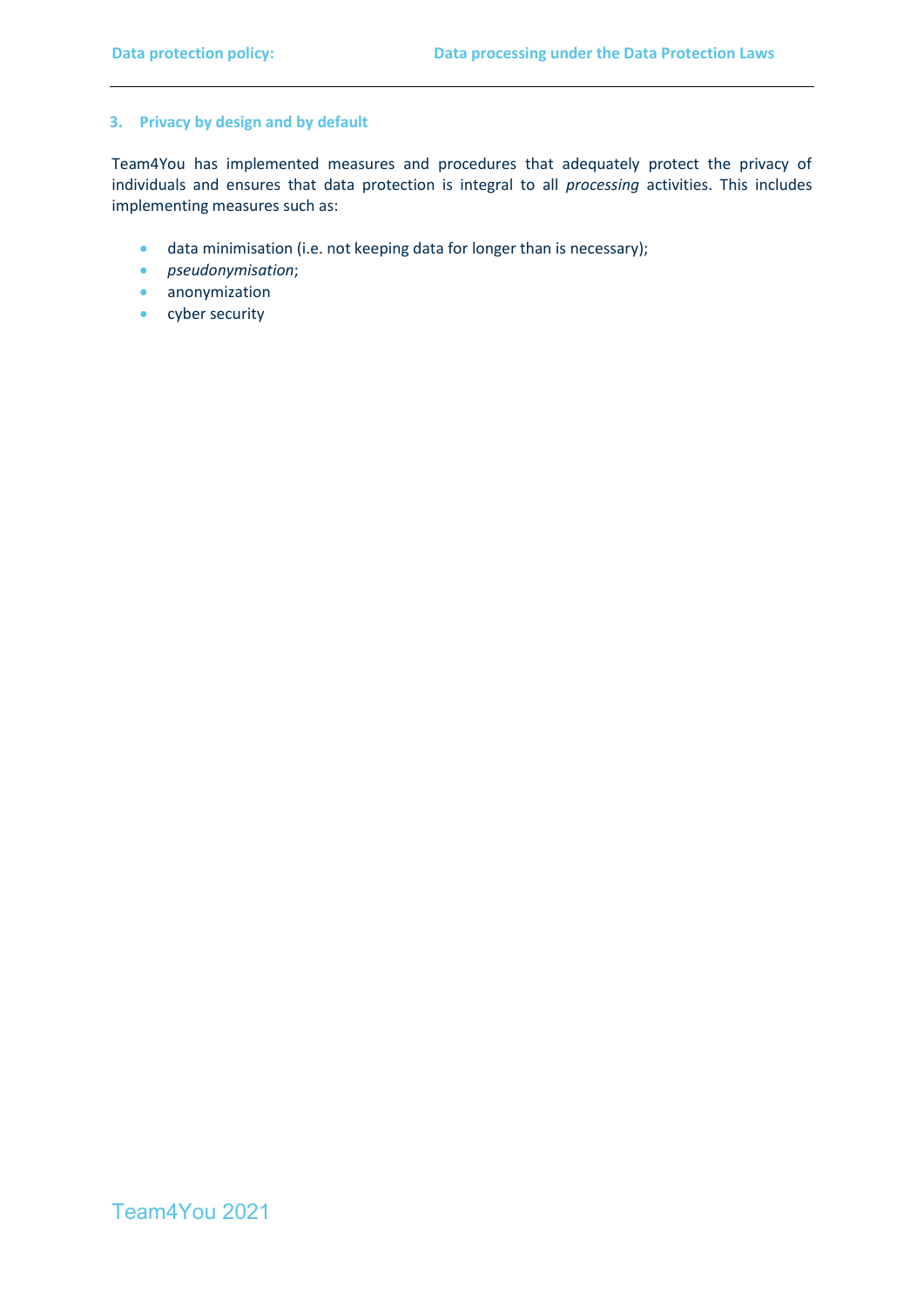#### **3. Privacy by design and by default**

Team4You has implemented measures and procedures that adequately protect the privacy of individuals and ensures that data protection is integral to all *processing* activities. This includes implementing measures such as:

- data minimisation (i.e. not keeping data for longer than is necessary);
- *pseudonymisation*;
- anonymization
- cyber security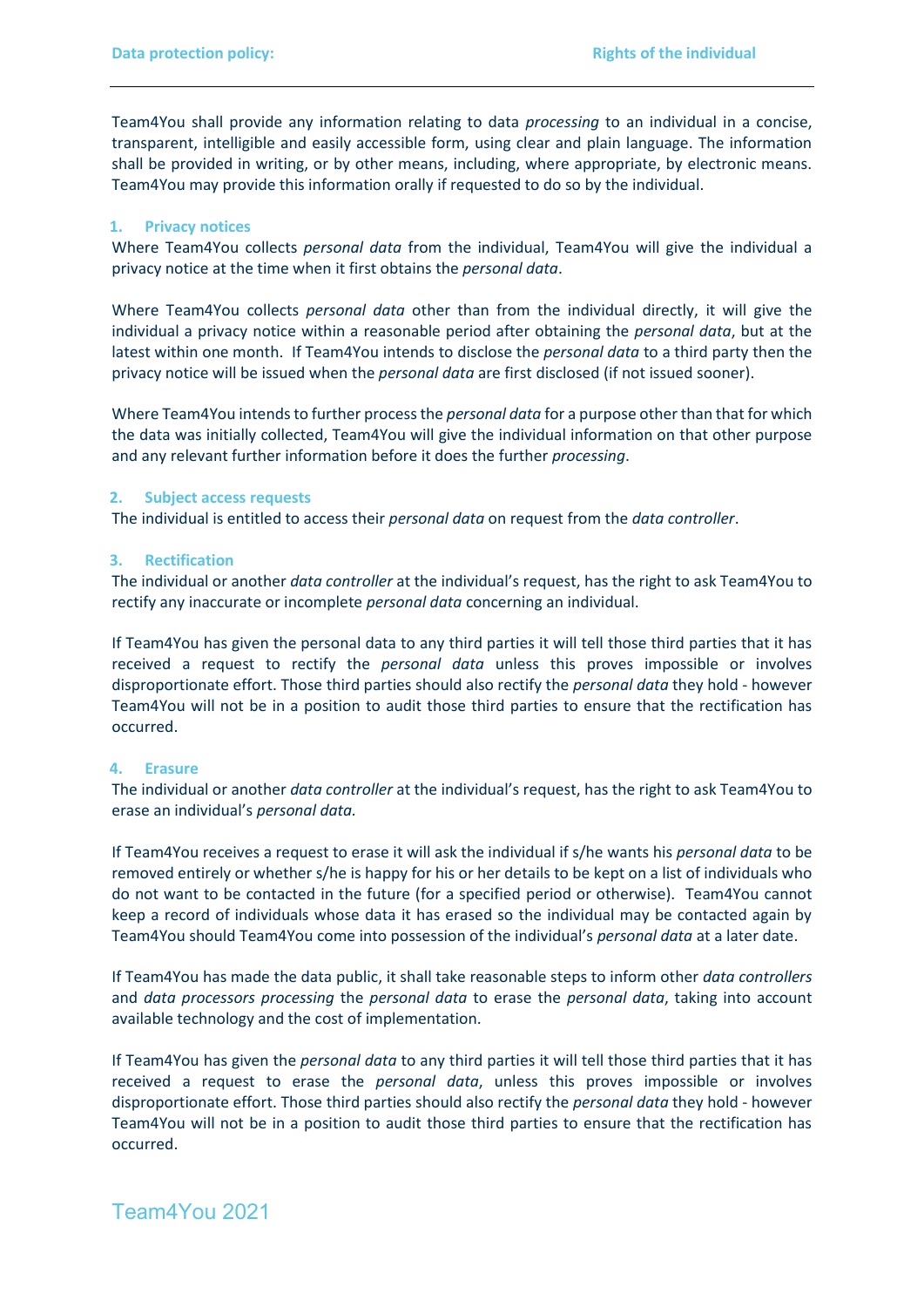Team4You shall provide any information relating to data *processing* to an individual in a concise, transparent, intelligible and easily accessible form, using clear and plain language. The information shall be provided in writing, or by other means, including, where appropriate, by electronic means. Team4You may provide this information orally if requested to do so by the individual.

#### **1. Privacy notices**

Where Team4You collects *personal data* from the individual, Team4You will give the individual a privacy notice at the time when it first obtains the *personal data*.

Where Team4You collects *personal data* other than from the individual directly, it will give the individual a privacy notice within a reasonable period after obtaining the *personal data*, but at the latest within one month. If Team4You intends to disclose the *personal data* to a third party then the privacy notice will be issued when the *personal data* are first disclosed (if not issued sooner).

Where Team4You intends to further process the *personal data* for a purpose other than that for which the data was initially collected, Team4You will give the individual information on that other purpose and any relevant further information before it does the further *processing*.

#### **2. Subject access requests**

The individual is entitled to access their *personal data* on request from the *data controller*.

#### **3. Rectification**

The individual or another *data controller* at the individual's request, has the right to ask Team4You to rectify any inaccurate or incomplete *personal data* concerning an individual.

If Team4You has given the personal data to any third parties it will tell those third parties that it has received a request to rectify the *personal data* unless this proves impossible or involves disproportionate effort. Those third parties should also rectify the *personal data* they hold - however Team4You will not be in a position to audit those third parties to ensure that the rectification has occurred.

#### **4. Erasure**

The individual or another *data controller* at the individual's request, has the right to ask Team4You to erase an individual's *personal data.* 

If Team4You receives a request to erase it will ask the individual if s/he wants his *personal data* to be removed entirely or whether s/he is happy for his or her details to be kept on a list of individuals who do not want to be contacted in the future (for a specified period or otherwise). Team4You cannot keep a record of individuals whose data it has erased so the individual may be contacted again by Team4You should Team4You come into possession of the individual's *personal data* at a later date.

If Team4You has made the data public, it shall take reasonable steps to inform other *data controllers* and *data processors processing* the *personal data* to erase the *personal data*, taking into account available technology and the cost of implementation.

If Team4You has given the *personal data* to any third parties it will tell those third parties that it has received a request to erase the *personal data*, unless this proves impossible or involves disproportionate effort. Those third parties should also rectify the *personal data* they hold - however Team4You will not be in a position to audit those third parties to ensure that the rectification has occurred.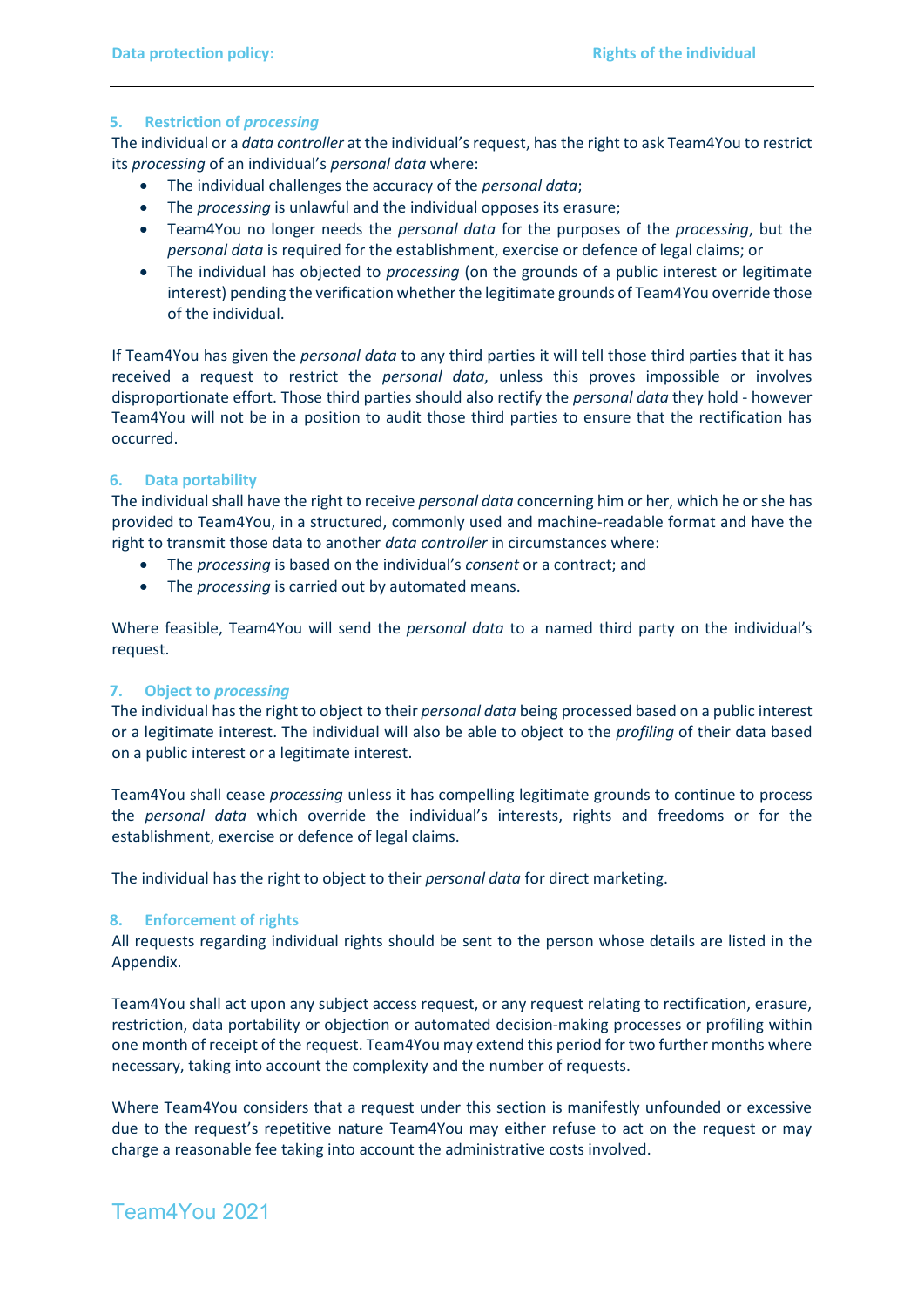#### **5. Restriction of** *processing*

The individual or a *data controller* at the individual's request, hasthe right to ask Team4You to restrict its *processing* of an individual's *personal data* where:

- The individual challenges the accuracy of the *personal data*;
- The *processing* is unlawful and the individual opposes its erasure;
- Team4You no longer needs the *personal data* for the purposes of the *processing*, but the *personal data* is required for the establishment, exercise or defence of legal claims; or
- The individual has objected to *processing* (on the grounds of a public interest or legitimate interest) pending the verification whether the legitimate grounds of Team4You override those of the individual.

If Team4You has given the *personal data* to any third parties it will tell those third parties that it has received a request to restrict the *personal data*, unless this proves impossible or involves disproportionate effort. Those third parties should also rectify the *personal data* they hold - however Team4You will not be in a position to audit those third parties to ensure that the rectification has occurred.

#### **6. Data portability**

The individual shall have the right to receive *personal data* concerning him or her, which he or she has provided to Team4You, in a structured, commonly used and machine-readable format and have the right to transmit those data to another *data controller* in circumstances where:

- The *processing* is based on the individual's *consent* or a contract; and
- The *processing* is carried out by automated means.

Where feasible, Team4You will send the *personal data* to a named third party on the individual's request.

#### **7. Object to** *processing*

The individual hasthe right to object to their *personal data* being processed based on a public interest or a legitimate interest. The individual will also be able to object to the *profiling* of their data based on a public interest or a legitimate interest.

Team4You shall cease *processing* unless it has compelling legitimate grounds to continue to process the *personal data* which override the individual's interests, rights and freedoms or for the establishment, exercise or defence of legal claims.

The individual has the right to object to their *personal data* for direct marketing.

#### **8. Enforcement of rights**

All requests regarding individual rights should be sent to the person whose details are listed in the Appendix.

Team4You shall act upon any subject access request, or any request relating to rectification, erasure, restriction, data portability or objection or automated decision-making processes or profiling within one month of receipt of the request. Team4You may extend this period for two further months where necessary, taking into account the complexity and the number of requests.

Where Team4You considers that a request under this section is manifestly unfounded or excessive due to the request's repetitive nature Team4You may either refuse to act on the request or may charge a reasonable fee taking into account the administrative costs involved.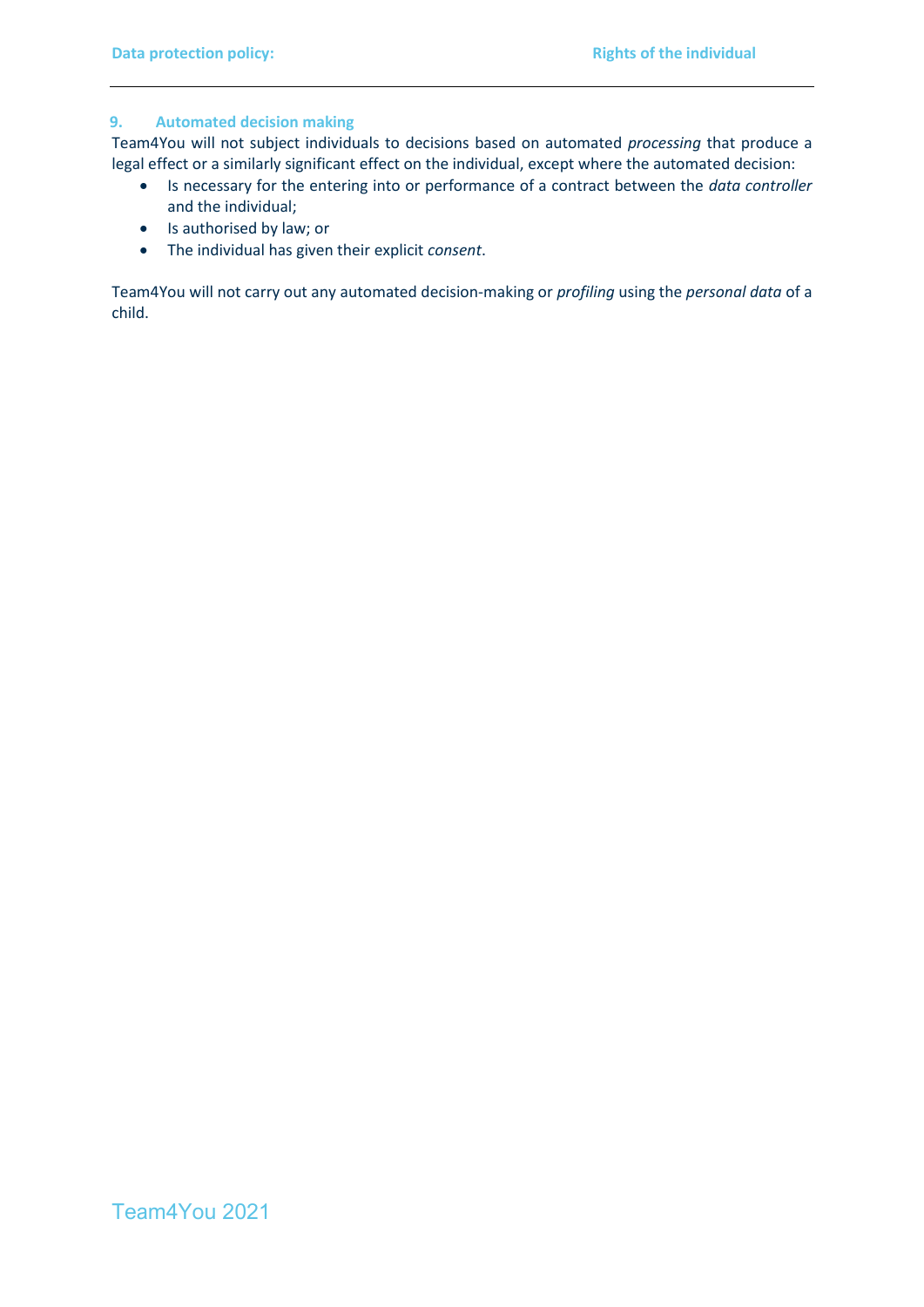#### **9. Automated decision making**

Team4You will not subject individuals to decisions based on automated *processing* that produce a legal effect or a similarly significant effect on the individual, except where the automated decision:

- Is necessary for the entering into or performance of a contract between the *data controller* and the individual;
- Is authorised by law; or
- The individual has given their explicit *consent*.

Team4You will not carry out any automated decision-making or *profiling* using the *personal data* of a child.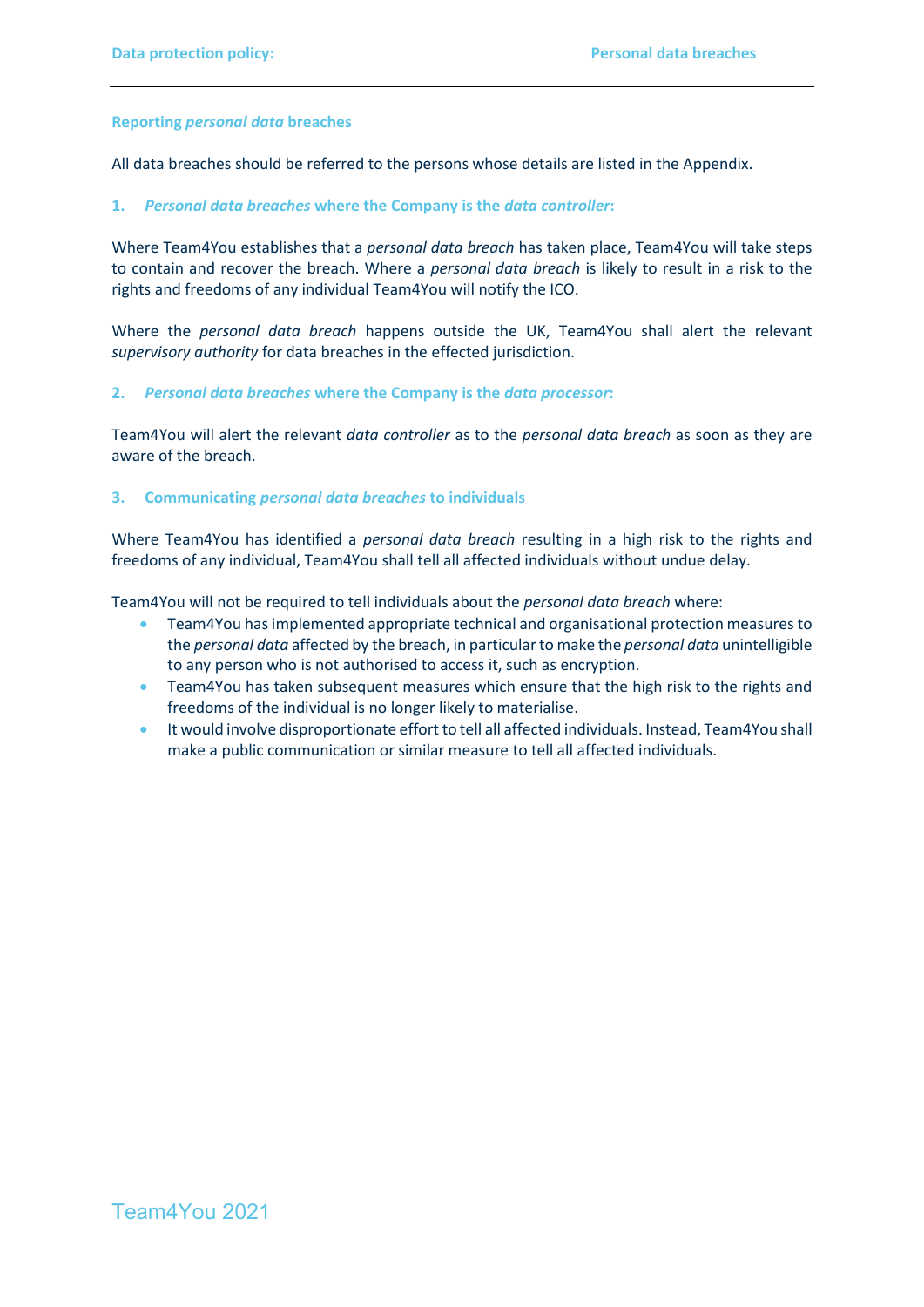#### **Reporting** *personal data* **breaches**

All data breaches should be referred to the persons whose details are listed in the Appendix.

#### **1.** *Personal data breaches* **where the Company is the** *data controller***:**

Where Team4You establishes that a *personal data breach* has taken place, Team4You will take steps to contain and recover the breach. Where a *personal data breach* is likely to result in a risk to the rights and freedoms of any individual Team4You will notify the ICO.

Where the *personal data breach* happens outside the UK, Team4You shall alert the relevant *supervisory authority* for data breaches in the effected jurisdiction.

#### **2.** *Personal data breaches* **where the Company is the** *data processor***:**

Team4You will alert the relevant *data controller* as to the *personal data breach* as soon as they are aware of the breach.

#### **3. Communicating** *personal data breaches* **to individuals**

Where Team4You has identified a *personal data breach* resulting in a high risk to the rights and freedoms of any individual, Team4You shall tell all affected individuals without undue delay.

Team4You will not be required to tell individuals about the *personal data breach* where:

- Team4You has implemented appropriate technical and organisational protection measures to the *personal data* affected by the breach, in particular to make the *personal data* unintelligible to any person who is not authorised to access it, such as encryption.
- Team4You has taken subsequent measures which ensure that the high risk to the rights and freedoms of the individual is no longer likely to materialise.
- It would involve disproportionate effort to tell all affected individuals. Instead, Team4You shall make a public communication or similar measure to tell all affected individuals.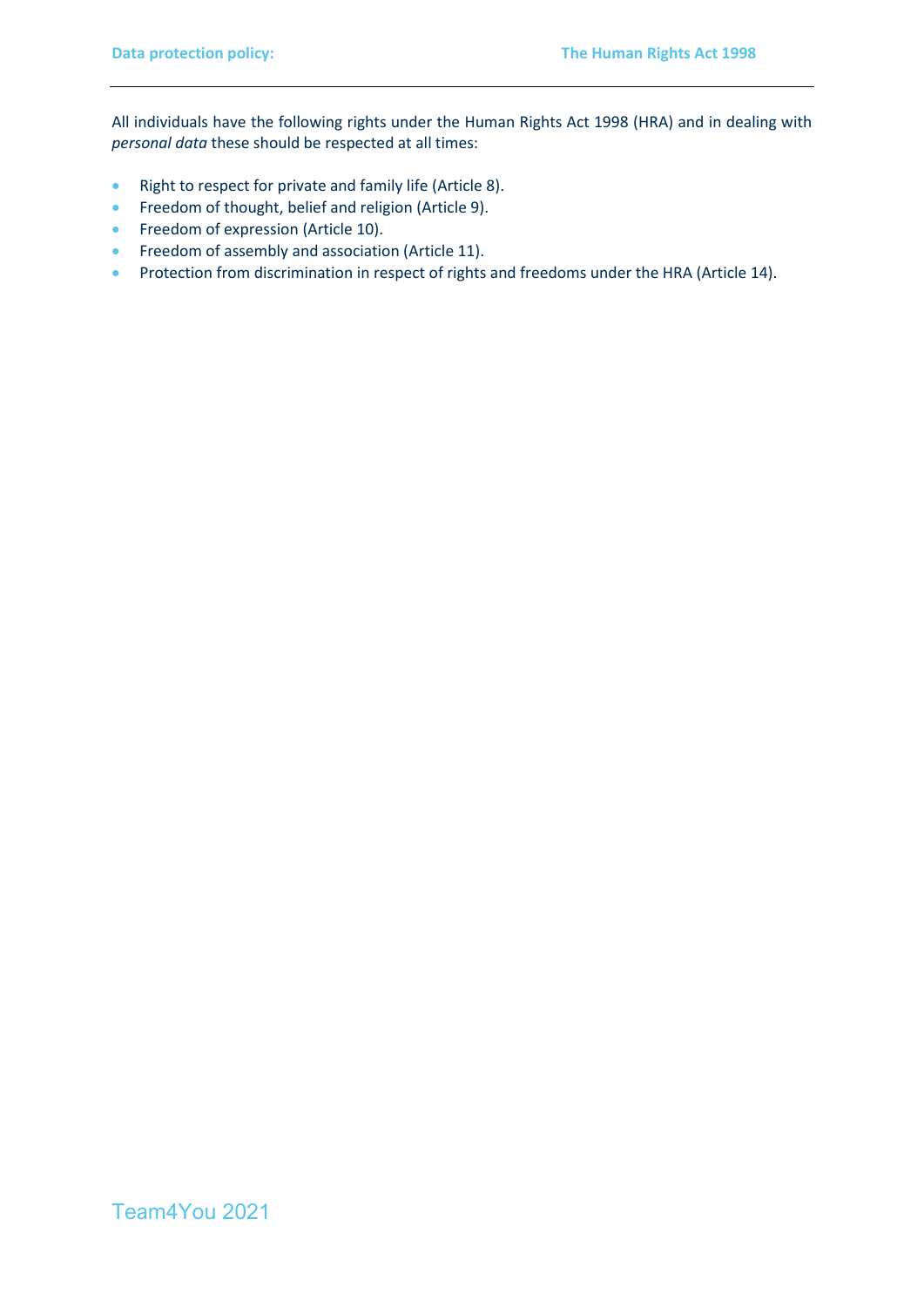All individuals have the following rights under the Human Rights Act 1998 (HRA) and in dealing with *personal data* these should be respected at all times:

- Right to respect for private and family life (Article 8).
- Freedom of thought, belief and religion (Article 9).
- Freedom of expression (Article 10).
- Freedom of assembly and association (Article 11).
- Protection from discrimination in respect of rights and freedoms under the HRA (Article 14).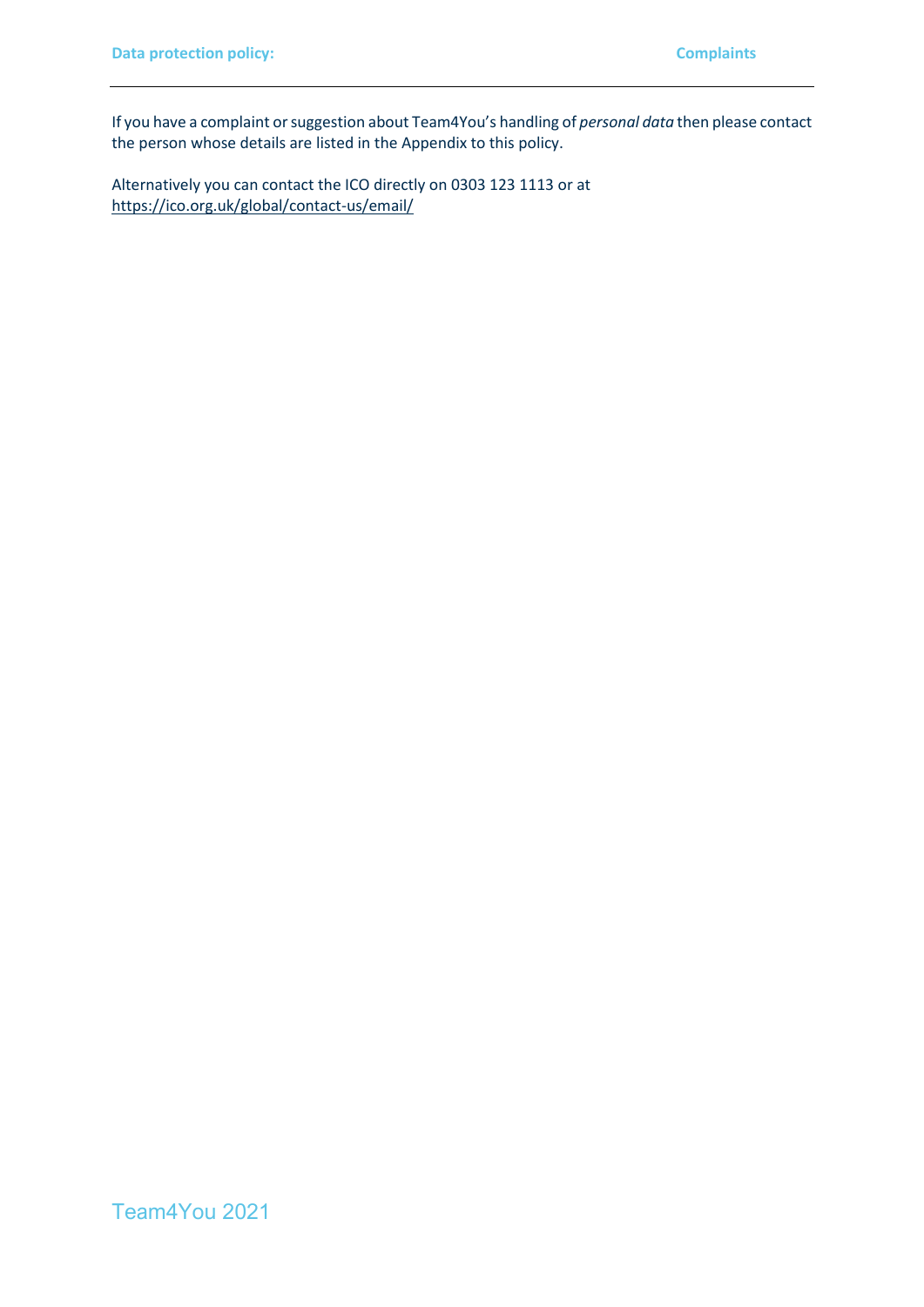If you have a complaint or suggestion about Team4You's handling of *personal data* then please contact the person whose details are listed in the Appendix to this policy.

Alternatively you can contact the ICO directly on 0303 123 1113 or at <https://ico.org.uk/global/contact-us/email/>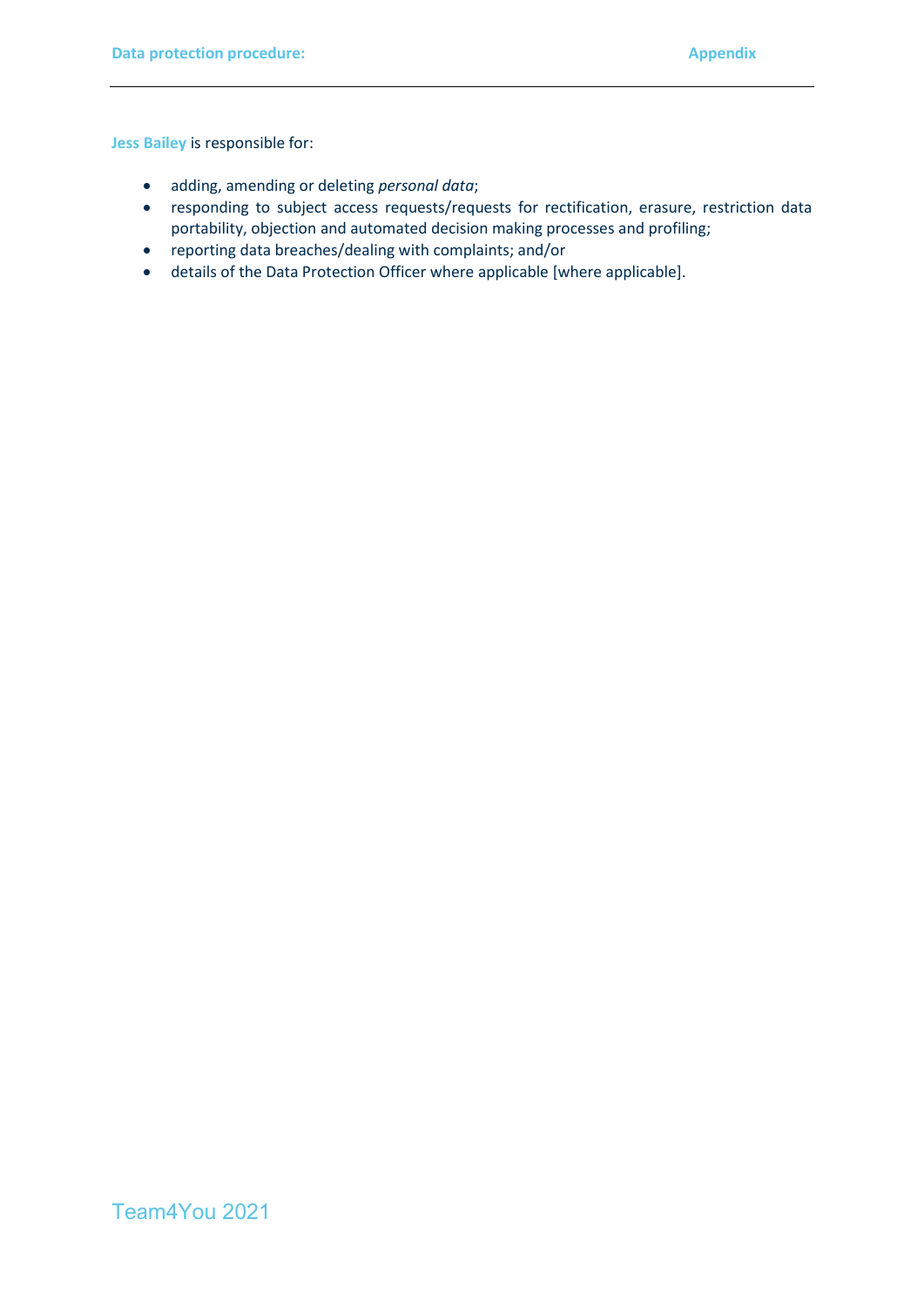**Jess Bailey** is responsible for:

- adding, amending or deleting *personal data*;
- responding to subject access requests/requests for rectification, erasure, restriction data portability, objection and automated decision making processes and profiling;
- reporting data breaches/dealing with complaints; and/or
- details of the Data Protection Officer where applicable [where applicable].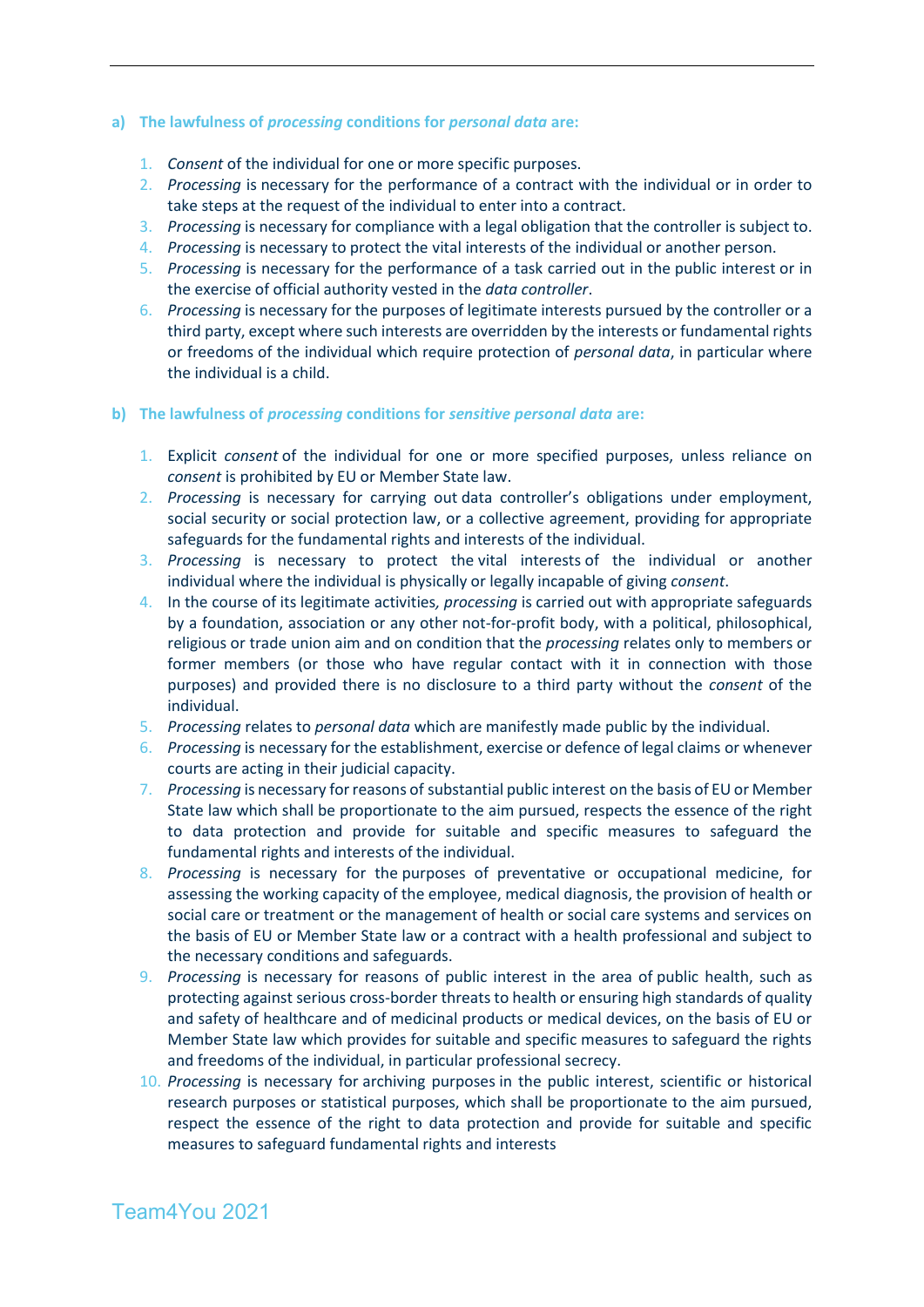#### **a) The lawfulness of** *processing* **conditions for** *personal data* **are:**

- 1. *Consent* of the individual for one or more specific purposes.
- 2. *Processing* is necessary for the performance of a contract with the individual or in order to take steps at the request of the individual to enter into a contract.
- 3. *Processing* is necessary for compliance with a legal obligation that the controller is subject to.
- 4. *Processing* is necessary to protect the vital interests of the individual or another person.
- 5. *Processing* is necessary for the performance of a task carried out in the public interest or in the exercise of official authority vested in the *data controller*.
- 6. *Processing* is necessary for the purposes of legitimate interests pursued by the controller or a third party, except where such interests are overridden by the interests or fundamental rights or freedoms of the individual which require protection of *personal data*, in particular where the individual is a child.
- **b) The lawfulness of** *processing* **conditions for** *sensitive personal data* **are:**
	- 1. Explicit *consent* of the individual for one or more specified purposes, unless reliance on *consent* is prohibited by EU or Member State law.
	- 2. *Processing* is necessary for carrying out data controller's obligations under employment, social security or social protection law, or a collective agreement, providing for appropriate safeguards for the fundamental rights and interests of the individual.
	- 3. *Processing* is necessary to protect the vital interests of the individual or another individual where the individual is physically or legally incapable of giving *consent*.
	- 4. In the course of its legitimate activities*, processing* is carried out with appropriate safeguards by a foundation, association or any other not-for-profit body, with a political, philosophical, religious or trade union aim and on condition that the *processing* relates only to members or former members (or those who have regular contact with it in connection with those purposes) and provided there is no disclosure to a third party without the *consent* of the individual.
	- 5. *Processing* relates to *personal data* which are manifestly made public by the individual.
	- 6. *Processing* is necessary for the establishment, exercise or defence of legal claims or whenever courts are acting in their judicial capacity.
	- 7. *Processing* is necessary for reasons of substantial public interest on the basis of EU or Member State law which shall be proportionate to the aim pursued, respects the essence of the right to data protection and provide for suitable and specific measures to safeguard the fundamental rights and interests of the individual.
	- 8. *Processing* is necessary for the purposes of preventative or occupational medicine, for assessing the working capacity of the employee, medical diagnosis, the provision of health or social care or treatment or the management of health or social care systems and services on the basis of EU or Member State law or a contract with a health professional and subject to the necessary conditions and safeguards.
	- 9. *Processing* is necessary for reasons of public interest in the area of public health, such as protecting against serious cross-border threats to health or ensuring high standards of quality and safety of healthcare and of medicinal products or medical devices, on the basis of EU or Member State law which provides for suitable and specific measures to safeguard the rights and freedoms of the individual, in particular professional secrecy.
	- 10. *Processing* is necessary for archiving purposes in the public interest, scientific or historical research purposes or statistical purposes, which shall be proportionate to the aim pursued, respect the essence of the right to data protection and provide for suitable and specific measures to safeguard fundamental rights and interests